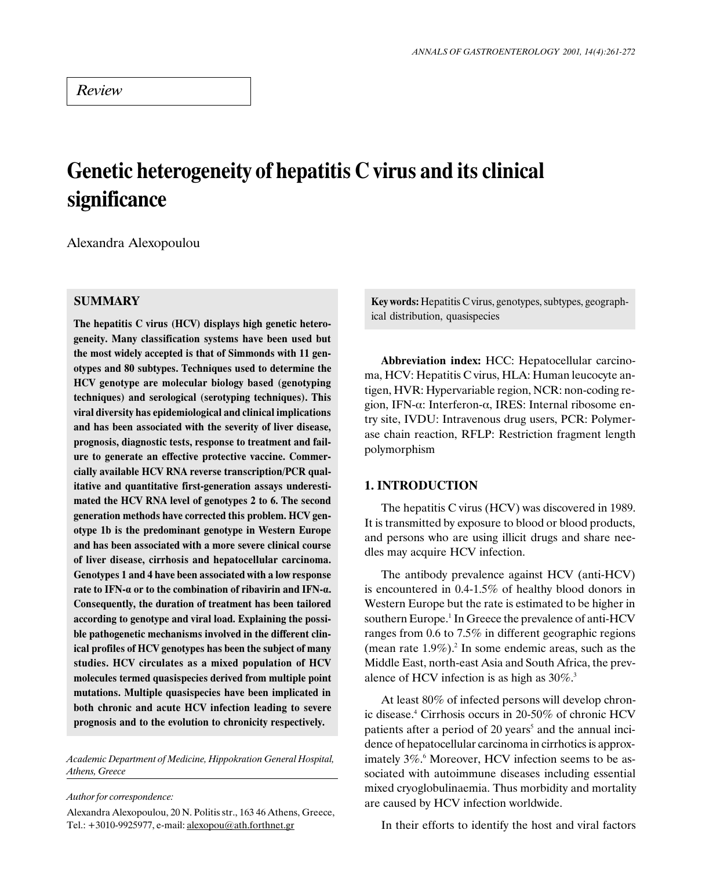# Genetic heterogeneity of hepatitis C virus and its clinical significance

Alexandra Alexopoulou

# **SUMMARY**

The hepatitis C virus (HCV) displays high genetic heterogeneity. Many classification systems have been used but the most widely accepted is that of Simmonds with 11 genotypes and 80 subtypes. Techniques used to determine the HCV genotype are molecular biology based (genotyping techniques) and serological (serotyping techniques). This viral diversity has epidemiological and clinical implications and has been associated with the severity of liver disease, prognosis, diagnostic tests, response to treatment and failure to generate an effective protective vaccine. Commercially available HCV RNA reverse transcription/PCR qualitative and quantitative first-generation assays underestimated the HCV RNA level of genotypes 2 to 6. The second generation methods have corrected this problem. HCV genotype 1b is the predominant genotype in Western Europe and has been associated with a more severe clinical course of liver disease, cirrhosis and hepatocellular carcinoma. Genotypes 1 and 4 have been associated with a low response rate to IFN- $\alpha$  or to the combination of ribavirin and IFN- $\alpha$ . Consequently, the duration of treatment has been tailored according to genotype and viral load. Explaining the possible pathogenetic mechanisms involved in the different clinical profiles of HCV genotypes has been the subject of many studies. HCV circulates as a mixed population of HCV molecules termed quasispecies derived from multiple point mutations. Multiple quasispecies have been implicated in both chronic and acute HCV infection leading to severe prognosis and to the evolution to chronicity respectively.

Academic Department of Medicine, Hippokration General Hospital, Athens, Greece

Alexandra Alexopoulou, 20 N. Politis str., 163 46 Athens, Greece, Tel.: +3010-9925977, e-mail: alexopou@ath.forthnet.gr

Key words: Hepatitis C virus, genotypes, subtypes, geographical distribution, quasispecies

Abbreviation index: HCC: Hepatocellular carcinoma, HCV: Hepatitis C virus, HLA: Human leucocyte antigen, HVR: Hypervariable region, NCR: non-coding region, IFN- $\alpha$ : Interferon- $\alpha$ , IRES: Internal ribosome entry site, IVDU: Intravenous drug users, PCR: Polymerase chain reaction, RFLP: Restriction fragment length polymorphism

## 1. INTRODUCTION

The hepatitis C virus (HCV) was discovered in 1989. It is transmitted by exposure to blood or blood products, and persons who are using illicit drugs and share needles may acquire HCV infection.

The antibody prevalence against HCV (anti-HCV) is encountered in 0.4-1.5% of healthy blood donors in Western Europe but the rate is estimated to be higher in southern Europe.<sup>1</sup> In Greece the prevalence of anti-HCV ranges from 0.6 to 7.5% in different geographic regions (mean rate  $1.9\%)$ .<sup>2</sup> In some endemic areas, such as the Middle East, north-east Asia and South Africa, the prevalence of HCV infection is as high as  $30\%$ .<sup>3</sup>

At least 80% of infected persons will develop chronic disease.4 Cirrhosis occurs in 20-50% of chronic HCV patients after a period of 20 years<sup>5</sup> and the annual incidence of hepatocellular carcinoma in cirrhotics is approximately 3%.<sup>6</sup> Moreover, HCV infection seems to be associated with autoimmune diseases including essential mixed cryoglobulinaemia. Thus morbidity and mortality are caused by HCV infection worldwide.

In their efforts to identify the host and viral factors

Author for correspondence: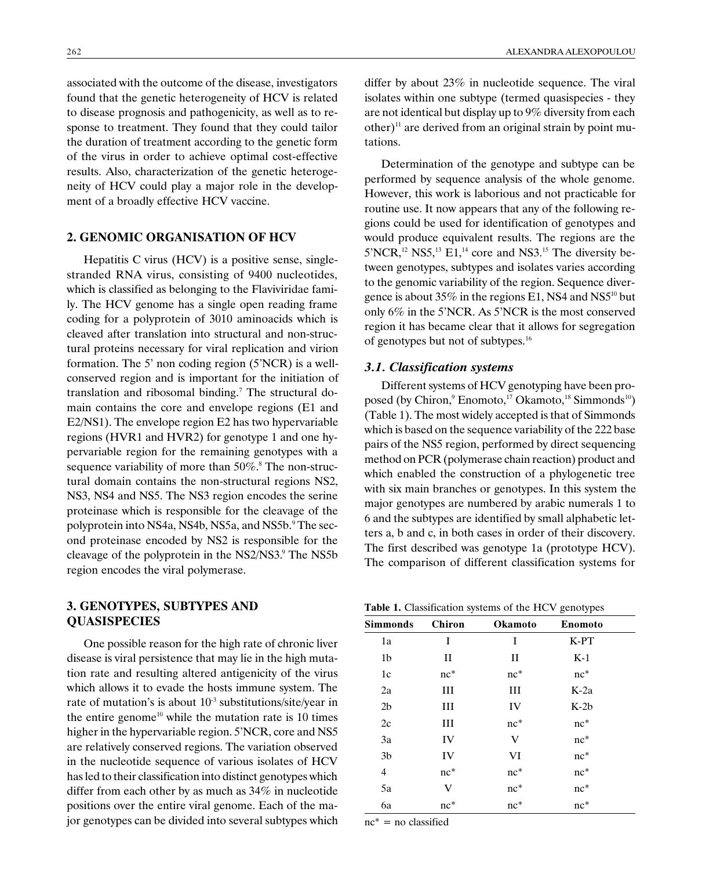associated with the outcome of the disease, investigators found that the genetic heterogeneity of HCV is related to disease prognosis and pathogenicity, as well as to response to treatment. They found that they could tailor the duration of treatment according to the genetic form of the virus in order to achieve optimal cost-effective results. Also, characterization of the genetic heterogeneity of HCV could play a major role in the development of a broadly effective HCV vaccine.

## 2. GENOMIC ORGANISATION OF HCV

Hepatitis C virus (HCV) is a positive sense, singlestranded RNA virus, consisting of 9400 nucleotides, which is classified as belonging to the Flaviviridae family. The HCV genome has a single open reading frame coding for a polyprotein of 3010 aminoacids which is cleaved after translation into structural and non-structural proteins necessary for viral replication and virion formation. The 5' non coding region  $(5'NCR)$  is a wellconserved region and is important for the initiation of translation and ribosomal binding.<sup>7</sup> The structural domain contains the core and envelope regions (E1 and E2/NS1). The envelope region E2 has two hypervariable regions (HVR1 and HVR2) for genotype 1 and one hypervariable region for the remaining genotypes with a sequence variability of more than 50%.<sup>8</sup> The non-structural domain contains the non-structural regions NS2, NS3, NS4 and NS5. The NS3 region encodes the serine proteinase which is responsible for the cleavage of the polyprotein into NS4a, NS4b, NS5a, and NS5b.<sup>9</sup> The second proteinase encoded by NS2 is responsible for the cleavage of the polyprotein in the NS2/NS3.<sup>9</sup> The NS5b region encodes the viral polymerase.

## 3. GENOTYPES, SUBTYPES AND **QUASISPECIES**

One possible reason for the high rate of chronic liver disease is viral persistence that may lie in the high mutation rate and resulting altered antigenicity of the virus which allows it to evade the hosts immune system. The rate of mutation's is about  $10<sup>3</sup>$  substitutions/site/year in the entire genome<sup>10</sup> while the mutation rate is 10 times higher in the hypervariable region. 5'NCR, core and NS5 are relatively conserved regions. The variation observed in the nucleotide sequence of various isolates of HCV has led to their classification into distinct genotypes which differ from each other by as much as 34% in nucleotide positions over the entire viral genome. Each of the major genotypes can be divided into several subtypes which differ by about 23% in nucleotide sequence. The viral isolates within one subtype (termed quasispecies - they are not identical but display up to 9% diversity from each  $other)^{11}$  are derived from an original strain by point mutations.

Determination of the genotype and subtype can be performed by sequence analysis of the whole genome. However, this work is laborious and not practicable for routine use. It now appears that any of the following regions could be used for identification of genotypes and would produce equivalent results. The regions are the  $5'NCR$ ,<sup>12</sup> NS5,<sup>13</sup> E1,<sup>14</sup> core and NS3.<sup>15</sup> The diversity between genotypes, subtypes and isolates varies according to the genomic variability of the region. Sequence divergence is about 35% in the regions  $E1$ , NS4 and NS5<sup>10</sup> but only 6% in the 5'NCR. As 5'NCR is the most conserved region it has became clear that it allows for segregation of genotypes but not of subtypes.16

## 3.1. Classification systems

Different systems of HCV genotyping have been proposed (by Chiron,<sup>9</sup> Enomoto,<sup>17</sup> Okamoto,<sup>18</sup> Simmonds<sup>10</sup>) (Table 1). The most widely accepted is that of Simmonds which is based on the sequence variability of the 222 base pairs of the NS5 region, performed by direct sequencing method on PCR (polymerase chain reaction) product and which enabled the construction of a phylogenetic tree with six main branches or genotypes. In this system the major genotypes are numbered by arabic numerals 1 to 6 and the subtypes are identified by small alphabetic letters a, b and c, in both cases in order of their discovery. The first described was genotype 1a (prototype HCV). The comparison of different classification systems for

|  |  |  | Table 1. Classification systems of the HCV genotypes |
|--|--|--|------------------------------------------------------|
|--|--|--|------------------------------------------------------|

|                 |               |         | ັ<br>. . |  |
|-----------------|---------------|---------|----------|--|
| <b>Simmonds</b> | <b>Chiron</b> | Okamoto | Enomoto  |  |
| 1a              | I             | I       | $K-PT$   |  |
| 1 <sub>b</sub>  | П             | П       | $K-1$    |  |
| 1c              | $nc^*$        | $nc^*$  | $nc^*$   |  |
| 2a              | Ш             | Ш       | $K-2a$   |  |
| 2 <sub>b</sub>  | Ш             | IV      | $K-2b$   |  |
| 2c              | Ш             | $nc^*$  | $nc^*$   |  |
| 3a              | IV            | V       | $nc^*$   |  |
| 3 <sub>b</sub>  | IV            | VI      | $nc^*$   |  |
| 4               | $nc^*$        | $nc^*$  | $nc^*$   |  |
| 5a              | V             | $nc*$   | $nc^*$   |  |
| 6a              | $nc*$         | $nc*$   | $nc*$    |  |

 $nc^* = no$  classified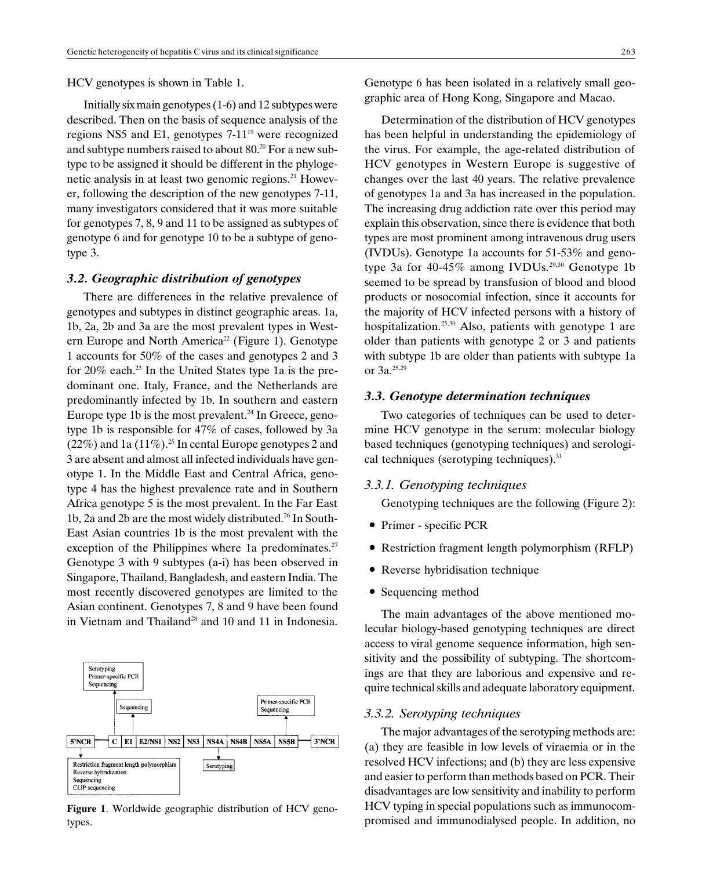#### HCV genotypes is shown in Table 1.

Initially six main genotypes (1-6) and 12 subtypes were described. Then on the basis of sequence analysis of the regions NS5 and E1, genotypes  $7-11^{19}$  were recognized and subtype numbers raised to about 80.20 For a new subtype to be assigned it should be different in the phylogenetic analysis in at least two genomic regions.<sup>21</sup> However, following the description of the new genotypes 7-11, many investigators considered that it was more suitable for genotypes 7, 8, 9 and 11 to be assigned as subtypes of genotype 6 and for genotype 10 to be a subtype of genotype 3.

## 3.2. Geographic distribution of genotypes

There are differences in the relative prevalence of genotypes and subtypes in distinct geographic areas. 1a, 1b, 2a, 2b and 3a are the most prevalent types in Western Europe and North America<sup>22</sup> (Figure 1). Genotype 1 accounts for 50% of the cases and genotypes 2 and 3 for 20% each.<sup>23</sup> In the United States type 1a is the predominant one. Italy, France, and the Netherlands are predominantly infected by 1b. In southern and eastern Europe type 1b is the most prevalent.<sup>24</sup> In Greece, genotype 1b is responsible for 47% of cases, followed by 3a  $(22\%)$  and 1a  $(11\%)$ .<sup>25</sup> In cental Europe genotypes 2 and 3 are absent and almost all infected individuals have genotype 1. In the Middle East and Central Africa, genotype 4 has the highest prevalence rate and in Southern Africa genotype 5 is the most prevalent. In the Far East 1b, 2a and 2b are the most widely distributed.<sup>26</sup> In South-East Asian countries 1b is the most prevalent with the exception of the Philippines where 1a predominates.<sup>27</sup> Genotype 3 with 9 subtypes (a-i) has been observed in Singapore, Thailand, Bangladesh, and eastern India. The most recently discovered genotypes are limited to the Asian continent. Genotypes 7, 8 and 9 have been found in Vietnam and Thailand<sup>28</sup> and 10 and 11 in Indonesia.



Figure 1. Worldwide geographic distribution of HCV genotypes.

Determination of the distribution of HCV genotypes has been helpful in understanding the epidemiology of the virus. For example, the age-related distribution of HCV genotypes in Western Europe is suggestive of changes over the last 40 years. The relative prevalence of genotypes 1a and 3a has increased in the population. The increasing drug addiction rate over this period may explain this observation, since there is evidence that both types are most prominent among intravenous drug users (IVDUs). Genotype 1a accounts for 51-53% and genotype 3a for 40-45% among IVDUs.<sup>29,30</sup> Genotype 1b seemed to be spread by transfusion of blood and blood products or nosocomial infection, since it accounts for the majority of HCV infected persons with a history of hospitalization.<sup>25,30</sup> Also, patients with genotype 1 are older than patients with genotype 2 or 3 and patients with subtype 1b are older than patients with subtype 1a. or 3a.25,29

#### 3.3. Genotype determination techniques

Two categories of techniques can be used to determine HCV genotype in the serum: molecular biology based techniques (genotyping techniques) and serological techniques (serotyping techniques). $31$ 

#### 3.3.1. Genotyping techniques

Genotyping techniques are the following (Figure 2):

- Primer specific PCR
- Restriction fragment length polymorphism (RFLP)
- Reverse hybridisation technique
- Sequencing method

The main advantages of the above mentioned molecular biology-based genotyping techniques are direct access to viral genome sequence information, high sensitivity and the possibility of subtyping. The shortcomings are that they are laborious and expensive and require technical skills and adequate laboratory equipment.

## 3.3.2. Serotyping techniques

The major advantages of the serotyping methods are: (a) they are feasible in low levels of viraemia or in the resolved HCV infections; and (b) they are less expensive and easier to perform than methods based on PCR. Their disadvantages are low sensitivity and inability to perform HCV typing in special populations such as immunocompromised and immunodialysed people. In addition, no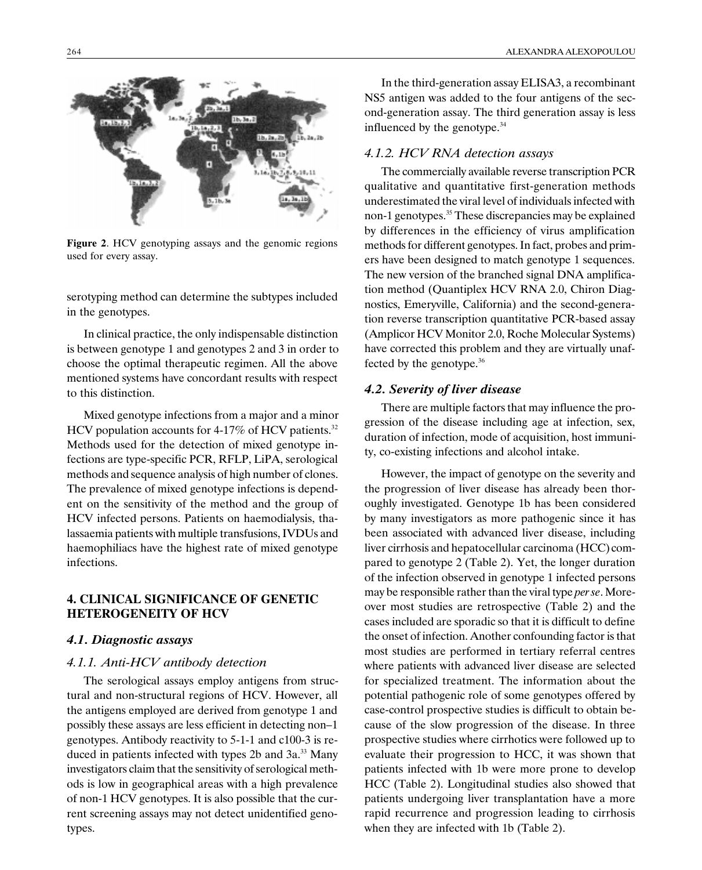

Figure 2. HCV genotyping assays and the genomic regions used for every assay.

serotyping method can determine the subtypes included in the genotypes.

In clinical practice, the only indispensable distinction is between genotype 1 and genotypes 2 and 3 in order to choose the optimal therapeutic regimen. All the above mentioned systems have concordant results with respect to this distinction.

Mixed genotype infections from a major and a minor HCV population accounts for 4-17% of HCV patients. $32$ Methods used for the detection of mixed genotype infections are type-specific PCR, RFLP, LiPA, serological methods and sequence analysis of high number of clones. The prevalence of mixed genotype infections is dependent on the sensitivity of the method and the group of HCV infected persons. Patients on haemodialysis, thalassaemia patients with multiple transfusions, IVDUs and haemophiliacs have the highest rate of mixed genotype infections.

## 4. CLINICAL SIGNIFICANCE OF GENETIC HETEROGENEITY OF HCV

## 4.1. Diagnostic assays

## 4.1.1. Anti-HCV antibody detection

The serological assays employ antigens from structural and non-structural regions of HCV. However, all the antigens employed are derived from genotype 1 and possibly these assays are less efficient in detecting non-1 genotypes. Antibody reactivity to 5-1-1 and c100-3 is reduced in patients infected with types 2b and 3a.<sup>33</sup> Many investigators claim that the sensitivity of serological methods is low in geographical areas with a high prevalence of non-1 HCV genotypes. It is also possible that the current screening assays may not detect unidentified genotypes.

In the third-generation assay ELISA3, a recombinant NS5 antigen was added to the four antigens of the second-generation assay. The third generation assay is less influenced by the genotype.34

#### 4.1.2. HCV RNA detection assays

The commercially available reverse transcription PCR qualitative and quantitative first-generation methods underestimated the viral level of individuals infected with non-1 genotypes.<sup>35</sup> These discrepancies may be explained by differences in the efficiency of virus amplification methods for different genotypes. In fact, probes and primers have been designed to match genotype 1 sequences. The new version of the branched signal DNA amplification method (Quantiplex HCV RNA 2.0, Chiron Diagnostics, Emeryville, California) and the second-generation reverse transcription quantitative PCR-based assay (Amplicor HCV Monitor 2.0, Roche Molecular Systems) have corrected this problem and they are virtually unaffected by the genotype.36

#### 4.2. Severity of liver disease

There are multiple factors that may influence the progression of the disease including age at infection, sex, duration of infection, mode of acquisition, host immunity, co-existing infections and alcohol intake.

However, the impact of genotype on the severity and the progression of liver disease has already been thoroughly investigated. Genotype 1b has been considered by many investigators as more pathogenic since it has been associated with advanced liver disease, including liver cirrhosis and hepatocellular carcinoma (HCC) compared to genotype 2 (Table 2). Yet, the longer duration of the infection observed in genotype 1 infected persons may be responsible rather than the viral type per se. Moreover most studies are retrospective (Table 2) and the cases included are sporadic so that it is difficult to define the onset of infection. Another confounding factor is that most studies are performed in tertiary referral centres where patients with advanced liver disease are selected for specialized treatment. The information about the potential pathogenic role of some genotypes offered by case-control prospective studies is difficult to obtain because of the slow progression of the disease. In three prospective studies where cirrhotics were followed up to evaluate their progression to HCC, it was shown that patients infected with 1b were more prone to develop HCC (Table 2). Longitudinal studies also showed that patients undergoing liver transplantation have a more rapid recurrence and progression leading to cirrhosis when they are infected with 1b (Table 2).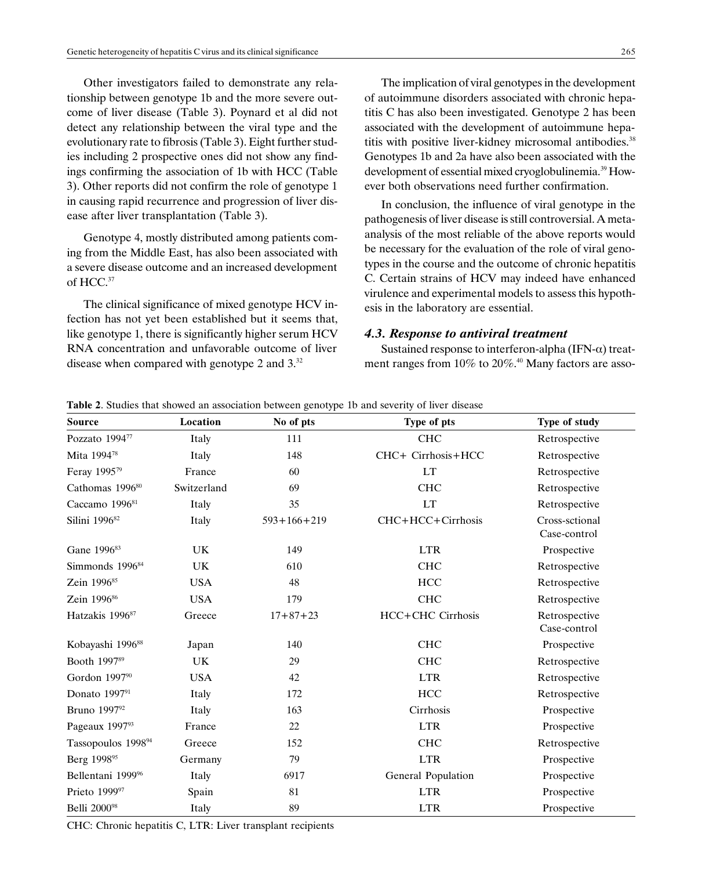Other investigators failed to demonstrate any relationship between genotype 1b and the more severe outcome of liver disease (Table 3). Poynard et al did not detect any relationship between the viral type and the evolutionary rate to fibrosis (Table 3). Eight further studies including 2 prospective ones did not show any findings confirming the association of 1b with HCC (Table 3). Other reports did not confirm the role of genotype 1 in causing rapid recurrence and progression of liver disease after liver transplantation (Table 3).

Genotype 4, mostly distributed among patients coming from the Middle East, has also been associated with a severe disease outcome and an increased development of  $HCC^{37}$ 

The clinical significance of mixed genotype HCV infection has not yet been established but it seems that, like genotype 1, there is significantly higher serum HCV RNA concentration and unfavorable outcome of liver disease when compared with genotype 2 and 3.32

The implication of viral genotypes in the development of autoimmune disorders associated with chronic hepatitis C has also been investigated. Genotype 2 has been associated with the development of autoimmune hepatitis with positive liver-kidney microsomal antibodies.<sup>38</sup> Genotypes 1b and 2a have also been associated with the development of essential mixed cryoglobulinemia.39 However both observations need further confirmation.

In conclusion, the influence of viral genotype in the pathogenesis of liver disease is still controversial. A metaanalysis of the most reliable of the above reports would be necessary for the evaluation of the role of viral genotypes in the course and the outcome of chronic hepatitis C. Certain strains of HCV may indeed have enhanced virulence and experimental models to assess this hypothesis in the laboratory are essential.

## 4.3. Response to antiviral treatment

Sustained response to interferon-alpha (IFN- $\alpha$ ) treatment ranges from 10% to 20%.<sup>40</sup> Many factors are asso-

| Source                        | Location    | No of pts      | Type of pts        | Type of study                  |
|-------------------------------|-------------|----------------|--------------------|--------------------------------|
| Pozzato 1994 <sup>77</sup>    | Italy       | 111            | <b>CHC</b>         | Retrospective                  |
| Mita 1994 <sup>78</sup>       | Italy       | 148            | CHC+ Cirrhosis+HCC | Retrospective                  |
| Feray 1995 <sup>79</sup>      | France      | 60             | <b>LT</b>          | Retrospective                  |
| Cathomas 1996 <sup>80</sup>   | Switzerland | 69             | <b>CHC</b>         | Retrospective                  |
| Caccamo 1996 <sup>81</sup>    | Italy       | 35             | <b>LT</b>          | Retrospective                  |
| Silini 1996 <sup>82</sup>     | Italy       | $593+166+219$  | CHC+HCC+Cirrhosis  | Cross-sctional<br>Case-control |
| Gane 1996 <sup>83</sup>       | UK          | 149            | <b>LTR</b>         | Prospective                    |
| Simmonds 1996 <sup>84</sup>   | UK          | 610            | <b>CHC</b>         | Retrospective                  |
| Zein 1996 <sup>85</sup>       | <b>USA</b>  | 48             | <b>HCC</b>         | Retrospective                  |
| Zein 1996 <sup>86</sup>       | <b>USA</b>  | 179            | <b>CHC</b>         | Retrospective                  |
| Hatzakis 1996 <sup>87</sup>   | Greece      | $17 + 87 + 23$ | HCC+CHC Cirrhosis  | Retrospective<br>Case-control  |
| Kobayashi 1996 <sup>88</sup>  | Japan       | 140            | <b>CHC</b>         | Prospective                    |
| Booth 1997 <sup>89</sup>      | UK          | 29             | <b>CHC</b>         | Retrospective                  |
| Gordon 1997 <sup>90</sup>     | <b>USA</b>  | 42             | <b>LTR</b>         | Retrospective                  |
| Donato 199791                 | Italy       | 172            | HCC                | Retrospective                  |
| Bruno 1997 <sup>92</sup>      | Italy       | 163            | Cirrhosis          | Prospective                    |
| Pageaux 1997 <sup>93</sup>    | France      | 22             | <b>LTR</b>         | Prospective                    |
| Tassopoulos 199894            | Greece      | 152            | <b>CHC</b>         | Retrospective                  |
| Berg 1998 <sup>95</sup>       | Germany     | 79             | <b>LTR</b>         | Prospective                    |
| Bellentani 1999 <sup>96</sup> | Italy       | 6917           | General Population | Prospective                    |
| Prieto 199997                 | Spain       | 81             | <b>LTR</b>         | Prospective                    |
| Belli 200098                  | Italy       | 89             | <b>LTR</b>         | Prospective                    |

Table 2. Studies that showed an association between genotype 1b and severity of liver disease

CHC: Chronic hepatitis C, LTR: Liver transplant recipients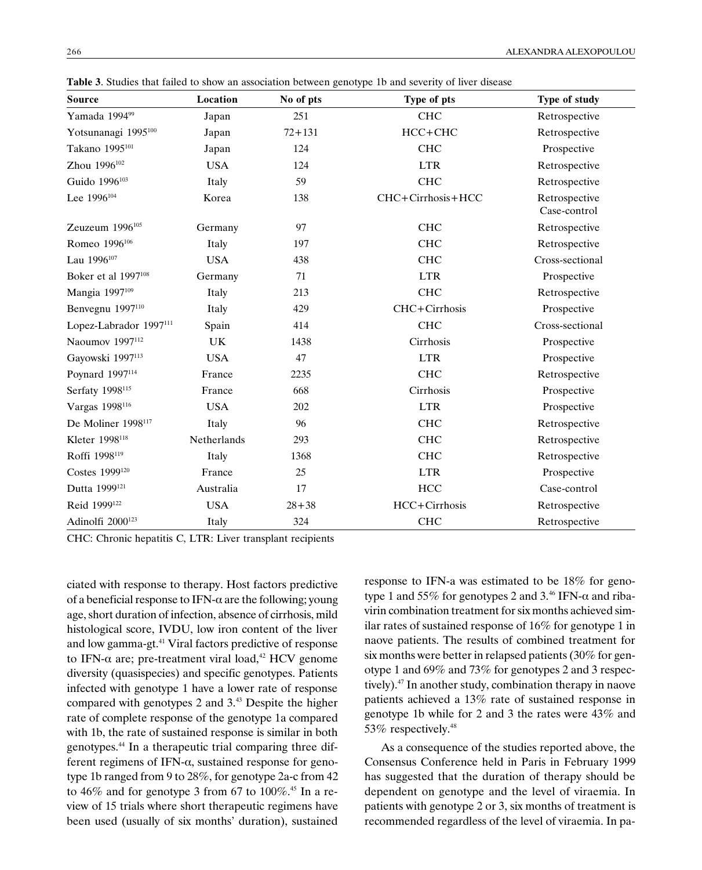| <b>Source</b>                       | Location    | No of pts  | Type of pts       | Type of study                 |
|-------------------------------------|-------------|------------|-------------------|-------------------------------|
| Yamada 199499                       | Japan       | 251        | <b>CHC</b>        | Retrospective                 |
| Yotsunanagi 1995 <sup>100</sup>     | Japan       | $72 + 131$ | $HCC+CHC$         | Retrospective                 |
| Takano 1995 <sup>101</sup>          | Japan       | 124        | <b>CHC</b>        | Prospective                   |
| Zhou 1996 <sup>102</sup>            | <b>USA</b>  | 124        | <b>LTR</b>        | Retrospective                 |
| Guido 1996 <sup>103</sup>           | Italy       | 59         | <b>CHC</b>        | Retrospective                 |
| Lee 1996 <sup>104</sup>             | Korea       | 138        | CHC+Cirrhosis+HCC | Retrospective<br>Case-control |
| Zeuzeum 1996 <sup>105</sup>         | Germany     | 97         | <b>CHC</b>        | Retrospective                 |
| Romeo 1996 <sup>106</sup>           | Italy       | 197        | <b>CHC</b>        | Retrospective                 |
| Lau $1996^{\scriptscriptstyle 107}$ | <b>USA</b>  | 438        | <b>CHC</b>        | Cross-sectional               |
| Boker et al 1997 <sup>108</sup>     | Germany     | 71         | <b>LTR</b>        | Prospective                   |
| Mangia 1997109                      | Italy       | 213        | <b>CHC</b>        | Retrospective                 |
| Benvegnu 1997 <sup>110</sup>        | Italy       | 429        | CHC+Cirrhosis     | Prospective                   |
| Lopez-Labrador 1997 <sup>111</sup>  | Spain       | 414        | <b>CHC</b>        | Cross-sectional               |
| Naoumov 1997 <sup>112</sup>         | UK          | 1438       | Cirrhosis         | Prospective                   |
| Gayowski 1997113                    | <b>USA</b>  | 47         | <b>LTR</b>        | Prospective                   |
| Poynard 1997 <sup>114</sup>         | France      | 2235       | <b>CHC</b>        | Retrospective                 |
| Serfaty 1998 <sup>115</sup>         | France      | 668        | Cirrhosis         | Prospective                   |
| Vargas 1998 <sup>116</sup>          | <b>USA</b>  | 202        | <b>LTR</b>        | Prospective                   |
| De Moliner 1998 <sup>117</sup>      | Italy       | 96         | <b>CHC</b>        | Retrospective                 |
| Kleter 1998 <sup>118</sup>          | Netherlands | 293        | <b>CHC</b>        | Retrospective                 |
| Roffi 1998 <sup>119</sup>           | Italy       | 1368       | <b>CHC</b>        | Retrospective                 |
| Costes 1999 <sup>120</sup>          | France      | 25         | <b>LTR</b>        | Prospective                   |
| Dutta 1999 <sup>121</sup>           | Australia   | 17         | HCC               | Case-control                  |
| Reid 1999 <sup>122</sup>            | <b>USA</b>  | $28 + 38$  | HCC+Cirrhosis     | Retrospective                 |
| Adinolfi 2000 <sup>123</sup>        | Italy       | 324        | <b>CHC</b>        | Retrospective                 |

Table 3. Studies that failed to show an association between genotype 1b and severity of liver disease

CHC: Chronic hepatitis C, LTR: Liver transplant recipients

ciated with response to therapy. Host factors predictive of a beneficial response to IFN- $\alpha$  are the following; young age, short duration of infection, absence of cirrhosis, mild histological score, IVDU, low iron content of the liver and low gamma-gt.41 Viral factors predictive of response to IFN- $\alpha$  are; pre-treatment viral load,<sup>42</sup> HCV genome diversity (quasispecies) and specific genotypes. Patients infected with genotype 1 have a lower rate of response compared with genotypes 2 and 3.43 Despite the higher rate of complete response of the genotype 1a compared with 1b, the rate of sustained response is similar in both genotypes.44 In a therapeutic trial comparing three different regimens of IFN- $\alpha$ , sustained response for genotype 1b ranged from 9 to 28%, for genotype 2a-c from 42 to 46% and for genotype 3 from 67 to  $100\%$ .<sup>45</sup> In a review of 15 trials where short therapeutic regimens have been used (usually of six months' duration), sustained response to IFN-a was estimated to be 18% for genotype 1 and 55% for genotypes 2 and  $3^{46}$  IFN- $\alpha$  and ribavirin combination treatment for six months achieved similar rates of sustained response of 16% for genotype 1 in naove patients. The results of combined treatment for six months were better in relapsed patients (30% for genotype 1 and 69% and 73% for genotypes 2 and 3 respectively). $47$  In another study, combination therapy in naove patients achieved a 13% rate of sustained response in genotype 1b while for 2 and 3 the rates were 43% and 53% respectively.<sup>48</sup>

As a consequence of the studies reported above, the Consensus Conference held in Paris in February 1999 has suggested that the duration of therapy should be dependent on genotype and the level of viraemia. In patients with genotype 2 or 3, six months of treatment is recommended regardless of the level of viraemia. In pa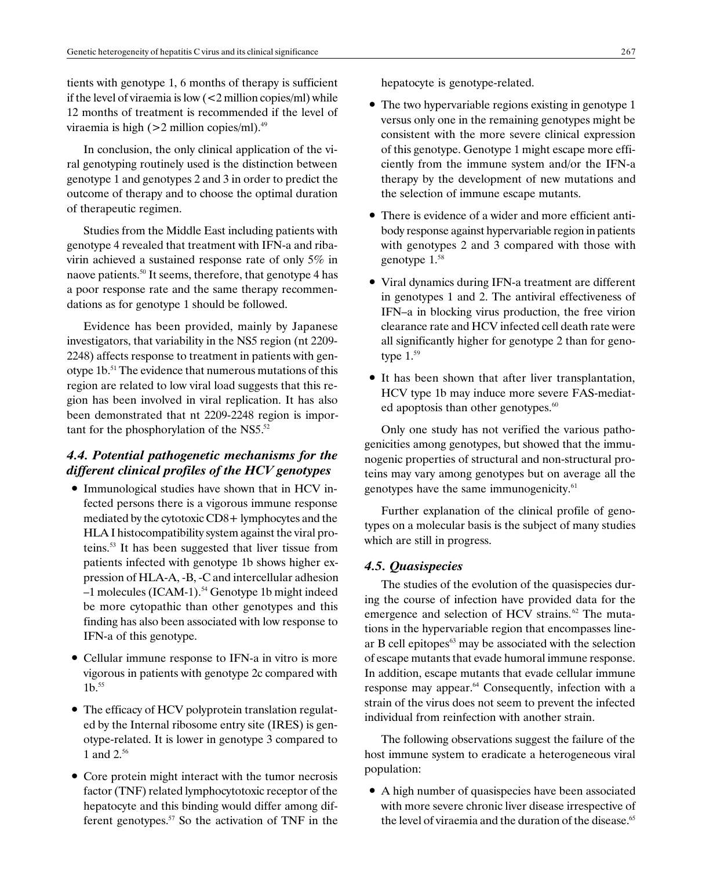tients with genotype 1, 6 months of therapy is sufficient if the level of viraemia is low (<2 million copies/ml) while 12 months of treatment is recommended if the level of viraemia is high  $(>2$  million copies/ml).<sup>49</sup>

In conclusion, the only clinical application of the viral genotyping routinely used is the distinction between genotype 1 and genotypes 2 and 3 in order to predict the outcome of therapy and to choose the optimal duration of therapeutic regimen.

Studies from the Middle East including patients with genotype 4 revealed that treatment with IFN-a and ribavirin achieved a sustained response rate of only 5% in naove patients.<sup>50</sup> It seems, therefore, that genotype 4 has a poor response rate and the same therapy recommendations as for genotype 1 should be followed.

Evidence has been provided, mainly by Japanese investigators, that variability in the NS5 region (nt 2209- 2248) affects response to treatment in patients with genotype 1b.51 The evidence that numerous mutations of this region are related to low viral load suggests that this region has been involved in viral replication. It has also been demonstrated that nt 2209-2248 region is important for the phosphorylation of the NS5. $52$ 

## 4.4. Potential pathogenetic mechanisms for the different clinical profiles of the HCV genotypes

- Immunological studies have shown that in HCV infected persons there is a vigorous immune response mediated by the cytotoxic CD8+ lymphocytes and the HLA I histocompatibility system against the viral proteins.53 It has been suggested that liver tissue from patients infected with genotype 1b shows higher expression of HLA-A, -B, -C and intercellular adhesion  $-1$  molecules (ICAM-1).<sup>54</sup> Genotype 1b might indeed be more cytopathic than other genotypes and this finding has also been associated with low response to IFN-a of this genotype.
- Cellular immune response to IFN-a in vitro is more vigorous in patients with genotype 2c compared with  $1<sub>b.</sub>55$
- The efficacy of HCV polyprotein translation regulated by the Internal ribosome entry site (IRES) is genotype-related. It is lower in genotype 3 compared to 1 and 2.<sup>56</sup>
- Core protein might interact with the tumor necrosis factor (TNF) related lymphocytotoxic receptor of the hepatocyte and this binding would differ among different genotypes. $57$  So the activation of TNF in the

hepatocyte is genotype-related.

- The two hypervariable regions existing in genotype 1 versus only one in the remaining genotypes might be consistent with the more severe clinical expression of this genotype. Genotype 1 might escape more efficiently from the immune system and/or the IFN-a therapy by the development of new mutations and the selection of immune escape mutants.
- There is evidence of a wider and more efficient antibody response against hypervariable region in patients with genotypes 2 and 3 compared with those with genotype 1.58
- Viral dynamics during IFN-a treatment are different in genotypes 1 and 2. The antiviral effectiveness of IFN-a in blocking virus production, the free virion clearance rate and HCV infected cell death rate were all significantly higher for genotype 2 than for genotype  $1.^{59}$
- It has been shown that after liver transplantation, HCV type 1b may induce more severe FAS-mediated apoptosis than other genotypes.<sup>60</sup>

Only one study has not verified the various pathogenicities among genotypes, but showed that the immunogenic properties of structural and non-structural proteins may vary among genotypes but on average all the genotypes have the same immunogenicity.<sup>61</sup>

Further explanation of the clinical profile of genotypes on a molecular basis is the subject of many studies which are still in progress.

## 4.5. Quasispecies

The studies of the evolution of the quasispecies during the course of infection have provided data for the emergence and selection of HCV strains.<sup>62</sup> The mutations in the hypervariable region that encompasses linear B cell epitopes $63$  may be associated with the selection of escape mutants that evade humoral immune response. In addition, escape mutants that evade cellular immune response may appear.<sup>64</sup> Consequently, infection with a strain of the virus does not seem to prevent the infected individual from reinfection with another strain.

The following observations suggest the failure of the host immune system to eradicate a heterogeneous viral population:

 A high number of quasispecies have been associated with more severe chronic liver disease irrespective of the level of viraemia and the duration of the disease.<sup>65</sup>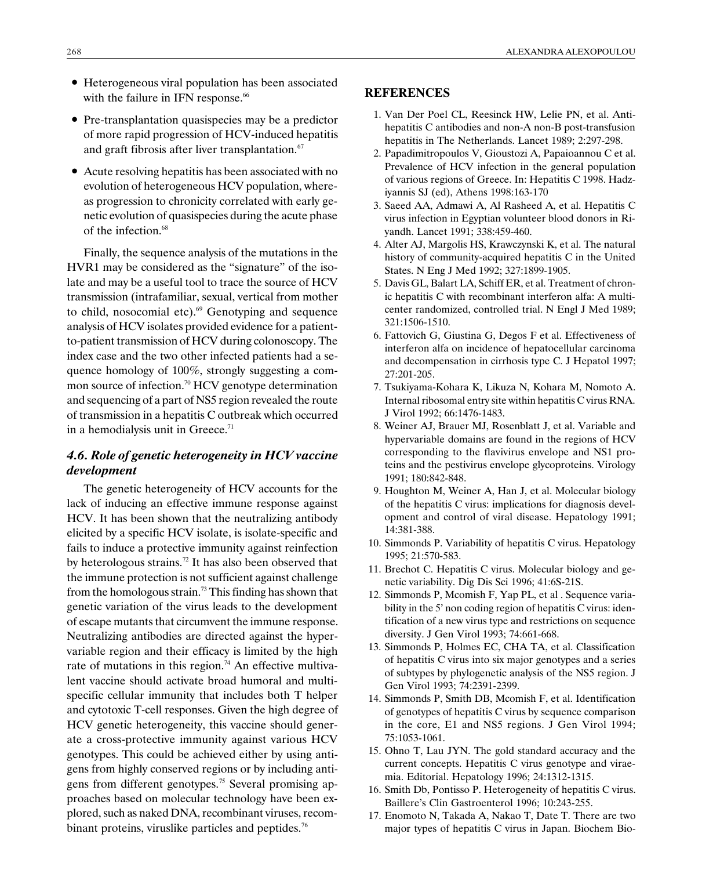- Heterogeneous viral population has been associated with the failure in IFN response.<sup>66</sup>
- Pre-transplantation quasispecies may be a predictor of more rapid progression of HCV-induced hepatitis and graft fibrosis after liver transplantation.<sup>67</sup>
- Acute resolving hepatitis has been associated with no evolution of heterogeneous HCV population, whereas progression to chronicity correlated with early genetic evolution of quasispecies during the acute phase of the infection.<sup>68</sup>

Finally, the sequence analysis of the mutations in the  $HVR1$  may be considered as the "signature" of the isolate and may be a useful tool to trace the source of HCV transmission (intrafamiliar, sexual, vertical from mother to child, nosocomial etc).<sup>69</sup> Genotyping and sequence analysis of HCV isolates provided evidence for a patientto-patient transmission of HCV during colonoscopy. The index case and the two other infected patients had a sequence homology of 100%, strongly suggesting a common source of infection.<sup>70</sup> HCV genotype determination and sequencing of a part of NS5 region revealed the route of transmission in a hepatitis C outbreak which occurred in a hemodialysis unit in Greece.<sup>71</sup>

## 4.6. Role of genetic heterogeneity in HCV vaccine development

The genetic heterogeneity of HCV accounts for the lack of inducing an effective immune response against HCV. It has been shown that the neutralizing antibody elicited by a specific HCV isolate, is isolate-specific and fails to induce a protective immunity against reinfection by heterologous strains.72 It has also been observed that the immune protection is not sufficient against challenge from the homologous strain.<sup>73</sup> This finding has shown that genetic variation of the virus leads to the development of escape mutants that circumvent the immune response. Neutralizing antibodies are directed against the hypervariable region and their efficacy is limited by the high rate of mutations in this region.<sup>74</sup> An effective multivalent vaccine should activate broad humoral and multispecific cellular immunity that includes both T helper and cytotoxic T-cell responses. Given the high degree of HCV genetic heterogeneity, this vaccine should generate a cross-protective immunity against various HCV genotypes. This could be achieved either by using antigens from highly conserved regions or by including antigens from different genotypes.<sup>75</sup> Several promising approaches based on molecular technology have been explored, such as naked DNA, recombinant viruses, recombinant proteins, viruslike particles and peptides.<sup>76</sup>

## **REFERENCES**

- 1. Van Der Poel CL, Reesinck HW, Lelie PN, et al. Antihepatitis C antibodies and non-A non-B post-transfusion hepatitis in The Netherlands. Lancet 1989; 2:297-298.
- 2. Papadimitropoulos V, Gioustozi A, Papaioannou C et al. Prevalence of HCV infection in the general population of various regions of Greece. In: Hepatitis C 1998. Hadziyannis SJ (ed), Athens 1998:163-170
- 3. Saeed AA, Admawi A, Al Rasheed A, et al. Hepatitis C virus infection in Egyptian volunteer blood donors in Riyandh. Lancet 1991; 338:459-460.
- 4. Alter AJ, Margolis HS, Krawczynski K, et al. The natural history of community-acquired hepatitis C in the United States. N Eng J Med 1992; 327:1899-1905.
- 5. Davis GL, Balart LA, Schiff ER, et al. Treatment of chronic hepatitis C with recombinant interferon alfa: A multicenter randomized, controlled trial. N Engl J Med 1989; 321:1506-1510.
- 6. Fattovich G, Giustina G, Degos F et al. Effectiveness of interferon alfa on incidence of hepatocellular carcinoma and decompensation in cirrhosis type C. J Hepatol 1997; 27:201-205.
- 7. Tsukiyama-Kohara K, Likuza N, Kohara M, Nomoto A. Internal ribosomal entry site within hepatitis C virus RNA. J Virol 1992; 66:1476-1483.
- 8. Weiner AJ, Brauer MJ, Rosenblatt J, et al. Variable and hypervariable domains are found in the regions of HCV corresponding to the flavivirus envelope and NS1 proteins and the pestivirus envelope glycoproteins. Virology 1991; 180:842-848.
- 9. Houghton M, Weiner A, Han J, et al. Molecular biology of the hepatitis C virus: implications for diagnosis development and control of viral disease. Hepatology 1991; 14:381-388.
- 10. Simmonds P. Variability of hepatitis C virus. Hepatology 1995; 21:570-583.
- 11. Brechot C. Hepatitis C virus. Molecular biology and genetic variability. Dig Dis Sci 1996; 41:6S-21S.
- 12. Simmonds P, Mcomish F, Yap PL, et al . Sequence variability in the  $5'$  non coding region of hepatitis C virus: identification of a new virus type and restrictions on sequence diversity. J Gen Virol 1993; 74:661-668.
- 13. Simmonds P, Holmes EC, CHA TA, et al. Classification of hepatitis C virus into six major genotypes and a series of subtypes by phylogenetic analysis of the NS5 region. J Gen Virol 1993; 74:2391-2399.
- 14. Simmonds P, Smith DB, Mcomish F, et al. Identification of genotypes of hepatitis C virus by sequence comparison in the core, E1 and NS5 regions. J Gen Virol 1994; 75:1053-1061.
- 15. Ohno T, Lau JYN. The gold standard accuracy and the current concepts. Hepatitis C virus genotype and viraemia. Editorial. Hepatology 1996; 24:1312-1315.
- 16. Smith Db, Pontisso P. Heterogeneity of hepatitis C virus. Baillere's Clin Gastroenterol 1996; 10:243-255.
- 17. Enomoto N, Takada A, Nakao T, Date T. There are two major types of hepatitis C virus in Japan. Biochem Bio-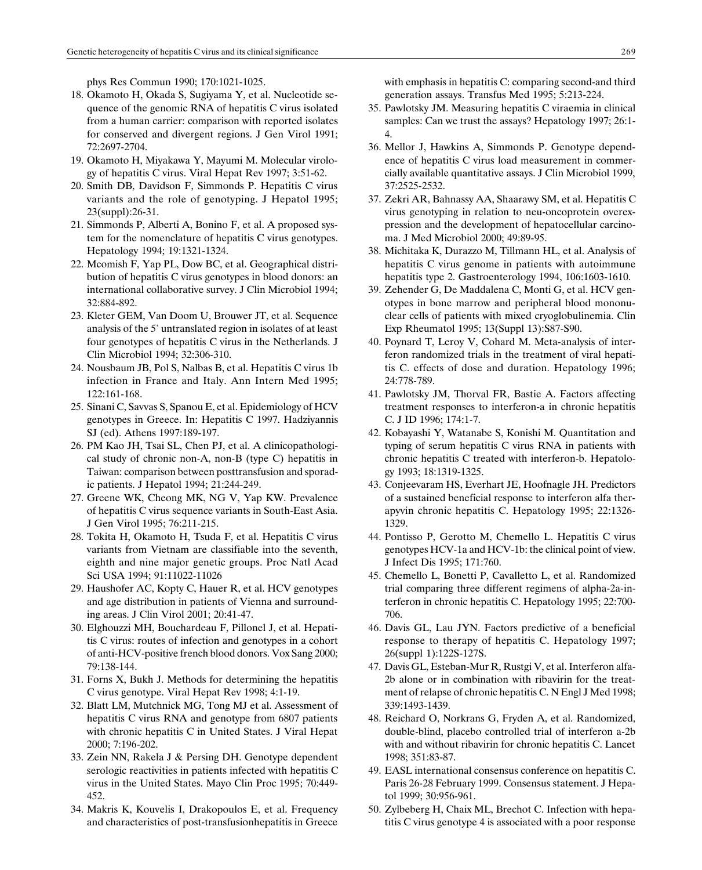phys Res Commun 1990; 170:1021-1025.

- 18. Okamoto H, Okada S, Sugiyama Y, et al. Nucleotide sequence of the genomic RNA of hepatitis C virus isolated from a human carrier: comparison with reported isolates for conserved and divergent regions. J Gen Virol 1991; 72:2697-2704.
- 19. Okamoto H, Miyakawa Y, Mayumi M. Molecular virology of hepatitis C virus. Viral Hepat Rev 1997; 3:51-62.
- 20. Smith DB, Davidson F, Simmonds P. Hepatitis C virus variants and the role of genotyping. J Hepatol 1995; 23(suppl):26-31.
- 21. Simmonds P, Alberti A, Bonino F, et al. A proposed system for the nomenclature of hepatitis C virus genotypes. Hepatology 1994; 19:1321-1324.
- 22. Mcomish F, Yap PL, Dow BC, et al. Geographical distribution of hepatitis C virus genotypes in blood donors: an international collaborative survey. J Clin Microbiol 1994; 32:884-892.
- 23. Kleter GEM, Van Doom U, Brouwer JT, et al. Sequence analysis of the 5' untranslated region in isolates of at least four genotypes of hepatitis C virus in the Netherlands. J Clin Microbiol 1994; 32:306-310.
- 24. Nousbaum JB, Pol S, Nalbas B, et al. Hepatitis C virus 1b infection in France and Italy. Ann Intern Med 1995; 122:161-168.
- 25. Sinani C, Savvas S, Spanou E, et al. Epidemiology of HCV genotypes in Greece. In: Hepatitis C 1997. Hadziyannis SJ (ed). Athens 1997:189-197.
- 26. PM Kao JH, Tsai SL, Chen PJ, et al. A clinicopathological study of chronic non-A, non-B (type C) hepatitis in Taiwan: comparison between posttransfusion and sporadic patients. J Hepatol 1994; 21:244-249.
- 27. Greene WK, Cheong MK, NG V, Yap KW. Prevalence of hepatitis C virus sequence variants in South-East Asia. J Gen Virol 1995; 76:211-215.
- 28. Tokita H, Okamoto H, Tsuda F, et al. Hepatitis C virus variants from Vietnam are classifiable into the seventh, eighth and nine major genetic groups. Proc Natl Acad Sci USA 1994; 91:11022-11026
- 29. Haushofer AC, Kopty C, Hauer R, et al. HCV genotypes and age distribution in patients of Vienna and surrounding areas. J Clin Virol 2001; 20:41-47.
- 30. Elghouzzi MH, Bouchardeau F, Pillonel J, et al. Hepatitis C virus: routes of infection and genotypes in a cohort of anti-HCV-positive french blood donors. Vox Sang 2000; 79:138-144.
- 31. Forns X, Bukh J. Methods for determining the hepatitis C virus genotype. Viral Hepat Rev 1998; 4:1-19.
- 32. Blatt LM, Mutchnick MG, Tong MJ et al. Assessment of hepatitis C virus RNA and genotype from 6807 patients with chronic hepatitis C in United States. J Viral Hepat 2000; 7:196-202.
- 33. Zein NN, Rakela J & Persing DH. Genotype dependent serologic reactivities in patients infected with hepatitis C virus in the United States. Mayo Clin Proc 1995; 70:449- 452.
- 34. Makris K, Kouvelis I, Drakopoulos E, et al. Frequency and characteristics of post-transfusionhepatitis in Greece

with emphasis in hepatitis C: comparing second-and third generation assays. Transfus Med 1995; 5:213-224.

- 35. Pawlotsky JM. Measuring hepatitis C viraemia in clinical samples: Can we trust the assays? Hepatology 1997; 26:1- 4.
- 36. Mellor J, Hawkins A, Simmonds P. Genotype dependence of hepatitis C virus load measurement in commercially available quantitative assays. J Clin Microbiol 1999, 37:2525-2532.
- 37. Zekri AR, Bahnassy AA, Shaarawy SM, et al. Hepatitis C virus genotyping in relation to neu-oncoprotein overexpression and the development of hepatocellular carcinoma. J Med Microbiol 2000; 49:89-95.
- 38. Michitaka K, Durazzo M, Tillmann HL, et al. Analysis of hepatitis C virus genome in patients with autoimmune hepatitis type 2. Gastroenterology 1994, 106:1603-1610.
- 39. Zehender G, De Maddalena C, Monti G, et al. HCV genotypes in bone marrow and peripheral blood mononuclear cells of patients with mixed cryoglobulinemia. Clin Exp Rheumatol 1995; 13(Suppl 13):S87-S90.
- 40. Poynard T, Leroy V, Cohard M. Meta-analysis of interferon randomized trials in the treatment of viral hepatitis C. effects of dose and duration. Hepatology 1996; 24:778-789.
- 41. Pawlotsky JM, Thorval FR, Bastie A. Factors affecting treatment responses to interferon-a in chronic hepatitis C. J ID 1996; 174:1-7.
- 42. Kobayashi Y, Watanabe S, Konishi M. Quantitation and typing of serum hepatitis C virus RNA in patients with chronic hepatitis C treated with interferon-b. Hepatology 1993; 18:1319-1325.
- 43. Conjeevaram HS, Everhart JE, Hoofnagle JH. Predictors of a sustained beneficial response to interferon alfa therapyvin chronic hepatitis C. Hepatology 1995; 22:1326- 1329.
- 44. Pontisso P, Gerotto M, Chemello L. Hepatitis C virus genotypes HCV-1a and HCV-1b: the clinical point of view. J Infect Dis 1995; 171:760.
- 45. Chemello L, Bonetti P, Cavalletto L, et al. Randomized trial comparing three different regimens of alpha-2a-interferon in chronic hepatitis C. Hepatology 1995; 22:700- 706.
- 46. Davis GL, Lau JYN. Factors predictive of a beneficial response to therapy of hepatitis C. Hepatology 1997; 26(suppl 1):122S-127S.
- 47. Davis GL, Esteban-Mur R, Rustgi V, et al. Interferon alfa-2b alone or in combination with ribavirin for the treatment of relapse of chronic hepatitis C. N Engl J Med 1998; 339:1493-1439.
- 48. Reichard O, Norkrans G, Fryden A, et al. Randomized, double-blind, placebo controlled trial of interferon a-2b with and without ribavirin for chronic hepatitis C. Lancet 1998; 351:83-87.
- 49. EASL international consensus conference on hepatitis C. Paris 26-28 February 1999. Consensus statement. J Hepatol 1999; 30:956-961.
- 50. Zylbeberg H, Chaix ML, Brechot C. Infection with hepatitis C virus genotype 4 is associated with a poor response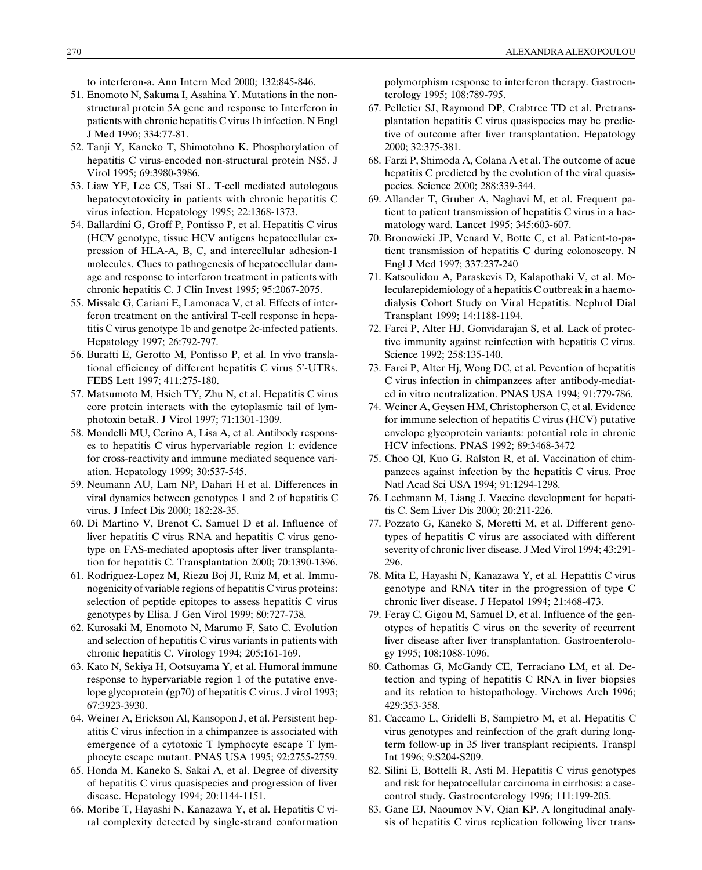to interferon-a. Ann Intern Med 2000; 132:845-846.

- 51. Enomoto N, Sakuma I, Asahina Y. Mutations in the nonstructural protein 5A gene and response to Interferon in patients with chronic hepatitis C virus 1b infection. N Engl J Med 1996; 334:77-81.
- 52. Tanji Y, Kaneko T, Shimotohno K. Phosphorylation of hepatitis C virus-encoded non-structural protein NS5. J Virol 1995; 69:3980-3986.
- 53. Liaw YF, Lee CS, Tsai SL. T-cell mediated autologous hepatocytotoxicity in patients with chronic hepatitis C virus infection. Hepatology 1995; 22:1368-1373.
- 54. Ballardini G, Groff P, Pontisso P, et al. Hepatitis C virus (HCV genotype, tissue HCV antigens hepatocellular expression of HLA-A, B, C, and intercellular adhesion-1 molecules. Clues to pathogenesis of hepatocellular damage and response to interferon treatment in patients with chronic hepatitis C. J Clin Invest 1995; 95:2067-2075.
- 55. Missale G, Cariani E, Lamonaca V, et al. Effects of interferon treatment on the antiviral T-cell response in hepatitis C virus genotype 1b and genotpe 2c-infected patients. Hepatology 1997; 26:792-797.
- 56. Buratti E, Gerotto M, Pontisso P, et al. In vivo translational efficiency of different hepatitis C virus 5-UTRs. FEBS Lett 1997; 411:275-180.
- 57. Matsumoto M, Hsieh TY, Zhu N, et al. Hepatitis C virus core protein interacts with the cytoplasmic tail of lymphotoxin betaR. J Virol 1997; 71:1301-1309.
- 58. Mondelli MU, Cerino A, Lisa A, et al. Antibody responses to hepatitis C virus hypervariable region 1: evidence for cross-reactivity and immune mediated sequence variation. Hepatology 1999; 30:537-545.
- 59. Neumann AU, Lam NP, Dahari H et al. Differences in viral dynamics between genotypes 1 and 2 of hepatitis C virus. J Infect Dis 2000; 182:28-35.
- 60. Di Martino V, Brenot C, Samuel D et al. Influence of liver hepatitis C virus RNA and hepatitis C virus genotype on FAS-mediated apoptosis after liver transplantation for hepatitis C. Transplantation 2000; 70:1390-1396.
- 61. Rodriguez-Lopez M, Riezu Boj JI, Ruiz M, et al. Immunogenicity of variable regions of hepatitis C virus proteins: selection of peptide epitopes to assess hepatitis C virus genotypes by Elisa. J Gen Virol 1999; 80:727-738.
- 62. Kurosaki M, Enomoto N, Marumo F, Sato C. Evolution and selection of hepatitis C virus variants in patients with chronic hepatitis C. Virology 1994; 205:161-169.
- 63. Kato N, Sekiya H, Ootsuyama Y, et al. Humoral immune response to hypervariable region 1 of the putative envelope glycoprotein (gp70) of hepatitis C virus. J virol 1993; 67:3923-3930.
- 64. Weiner A, Erickson Al, Kansopon J, et al. Persistent hepatitis C virus infection in a chimpanzee is associated with emergence of a cytotoxic T lymphocyte escape T lymphocyte escape mutant. PNAS USA 1995; 92:2755-2759.
- 65. Honda M, Kaneko S, Sakai A, et al. Degree of diversity of hepatitis C virus quasispecies and progression of liver disease. Hepatology 1994; 20:1144-1151.
- 66. Moribe T, Hayashi N, Kanazawa Y, et al. Hepatitis C viral complexity detected by single-strand conformation

polymorphism response to interferon therapy. Gastroenterology 1995; 108:789-795.

- 67. Pelletier SJ, Raymond DP, Crabtree TD et al. Pretransplantation hepatitis C virus quasispecies may be predictive of outcome after liver transplantation. Hepatology 2000; 32:375-381.
- 68. Farzi P, Shimoda A, Colana A et al. The outcome of acue hepatitis C predicted by the evolution of the viral quasispecies. Science 2000; 288:339-344.
- 69. Allander T, Gruber A, Naghavi M, et al. Frequent patient to patient transmission of hepatitis C virus in a haematology ward. Lancet 1995; 345:603-607.
- 70. Bronowicki JP, Venard V, Botte C, et al. Patient-to-patient transmission of hepatitis C during colonoscopy. N Engl J Med 1997; 337:237-240
- 71. Katsoulidou A, Paraskevis D, Kalapothaki V, et al. Molecularepidemiology of a hepatitis C outbreak in a haemodialysis Cohort Study on Viral Hepatitis. Nephrol Dial Transplant 1999; 14:1188-1194.
- 72. Farci P, Alter HJ, Gonvidarajan S, et al. Lack of protective immunity against reinfection with hepatitis C virus. Science 1992; 258:135-140.
- 73. Farci P, Alter Hj, Wong DC, et al. Pevention of hepatitis C virus infection in chimpanzees after antibody-mediated in vitro neutralization. PNAS USA 1994; 91:779-786.
- 74. Weiner A, Geysen HM, Christopherson C, et al. Evidence for immune selection of hepatitis C virus (HCV) putative envelope glycoprotein variants: potential role in chronic HCV infections. PNAS 1992; 89:3468-3472
- 75. Choo Ql, Kuo G, Ralston R, et al. Vaccination of chimpanzees against infection by the hepatitis C virus. Proc Natl Acad Sci USA 1994; 91:1294-1298.
- 76. Lechmann M, Liang J. Vaccine development for hepatitis C. Sem Liver Dis 2000; 20:211-226.
- 77. Pozzato G, Kaneko S, Moretti M, et al. Different genotypes of hepatitis C virus are associated with different severity of chronic liver disease. J Med Virol 1994; 43:291- 296.
- 78. Mita E, Hayashi N, Kanazawa Y, et al. Hepatitis C virus genotype and RNA titer in the progression of type C chronic liver disease. J Hepatol 1994; 21:468-473.
- 79. Feray C, Gigou M, Samuel D, et al. Influence of the genotypes of hepatitis C virus on the severity of recurrent liver disease after liver transplantation. Gastroenterology 1995; 108:1088-1096.
- 80. Cathomas G, McGandy CE, Terraciano LM, et al. Detection and typing of hepatitis C RNA in liver biopsies and its relation to histopathology. Virchows Arch 1996; 429:353-358.
- 81. Caccamo L, Gridelli B, Sampietro M, et al. Hepatitis C virus genotypes and reinfection of the graft during longterm follow-up in 35 liver transplant recipients. Transpl Int 1996; 9:S204-S209.
- 82. Silini E, Bottelli R, Asti M. Hepatitis C virus genotypes and risk for hepatocellular carcinoma in cirrhosis: a casecontrol study. Gastroenterology 1996; 111:199-205.
- 83. Gane EJ, Naoumov NV, Qian KP. A longitudinal analysis of hepatitis C virus replication following liver trans-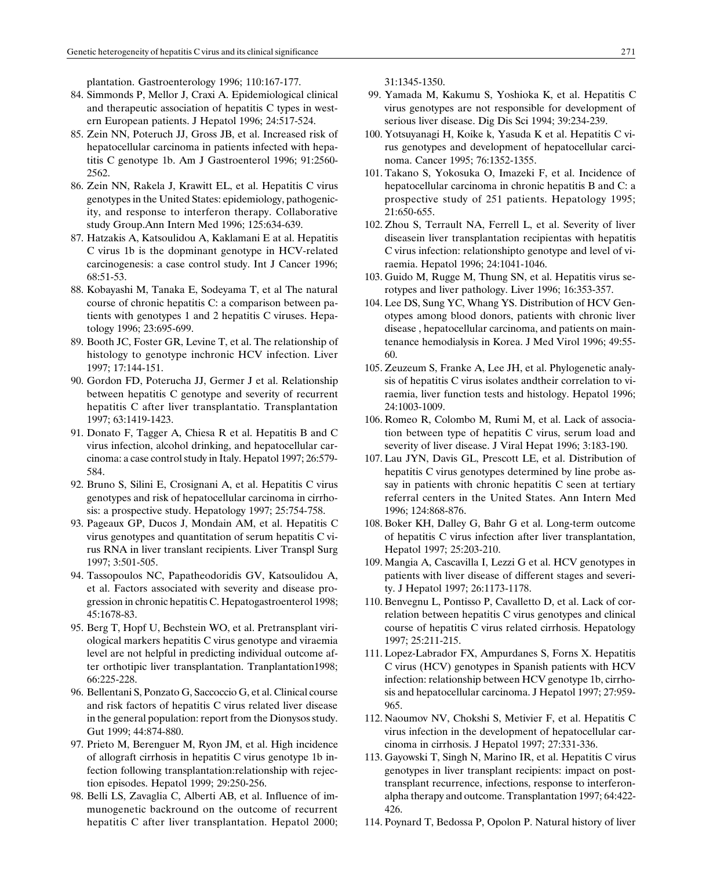plantation. Gastroenterology 1996; 110:167-177.

- 84. Simmonds P, Mellor J, Craxi A. Epidemiological clinical and therapeutic association of hepatitis C types in western European patients. J Hepatol 1996; 24:517-524.
- 85. Zein NN, Poteruch JJ, Gross JB, et al. Increased risk of hepatocellular carcinoma in patients infected with hepatitis C genotype 1b. Am J Gastroenterol 1996; 91:2560- 2562.
- 86. Zein NN, Rakela J, Krawitt EL, et al. Hepatitis C virus genotypes in the United States: epidemiology, pathogenicity, and response to interferon therapy. Collaborative study Group.Ann Intern Med 1996; 125:634-639.
- 87. Hatzakis A, Katsoulidou A, Kaklamani E at al. Hepatitis C virus 1b is the dopminant genotype in HCV-related carcinogenesis: a case control study. Int J Cancer 1996; 68:51-53.
- 88. Kobayashi M, Tanaka E, Sodeyama T, et al The natural course of chronic hepatitis C: a comparison between patients with genotypes 1 and 2 hepatitis C viruses. Hepatology 1996; 23:695-699.
- 89. Booth JC, Foster GR, Levine T, et al. The relationship of histology to genotype inchronic HCV infection. Liver 1997; 17:144-151.
- 90. Gordon FD, Poterucha JJ, Germer J et al. Relationship between hepatitis C genotype and severity of recurrent hepatitis C after liver transplantatio. Transplantation 1997; 63:1419-1423.
- 91. Donato F, Tagger A, Chiesa R et al. Hepatitis B and C virus infection, alcohol drinking, and hepatocellular carcinoma: a case control study in Italy. Hepatol 1997; 26:579- 584.
- 92. Bruno S, Silini E, Crosignani A, et al. Hepatitis C virus genotypes and risk of hepatocellular carcinoma in cirrhosis: a prospective study. Hepatology 1997; 25:754-758.
- 93. Pageaux GP, Ducos J, Mondain AM, et al. Hepatitis C virus genotypes and quantitation of serum hepatitis C virus RNA in liver translant recipients. Liver Transpl Surg 1997; 3:501-505.
- 94. Tassopoulos NC, Papatheodoridis GV, Katsoulidou A, et al. Factors associated with severity and disease progression in chronic hepatitis C. Hepatogastroenterol 1998; 45:1678-83.
- 95. Berg T, Hopf U, Bechstein WO, et al. Pretransplant viriological markers hepatitis C virus genotype and viraemia level are not helpful in predicting individual outcome after orthotipic liver transplantation. Tranplantation1998; 66:225-228.
- 96. Bellentani S, Ponzato G, Saccoccio G, et al. Clinical course and risk factors of hepatitis C virus related liver disease in the general population: report from the Dionysos study. Gut 1999; 44:874-880.
- 97. Prieto M, Berenguer M, Ryon JM, et al. High incidence of allograft cirrhosis in hepatitis C virus genotype 1b infection following transplantation:relationship with rejection episodes. Hepatol 1999; 29:250-256.
- 98. Belli LS, Zavaglia C, Alberti AB, et al. Influence of immunogenetic backround on the outcome of recurrent hepatitis C after liver transplantation. Hepatol 2000;

31:1345-1350.

- 99. Yamada M, Kakumu S, Yoshioka K, et al. Hepatitis C virus genotypes are not responsible for development of serious liver disease. Dig Dis Sci 1994; 39:234-239.
- 100. Yotsuyanagi H, Koike k, Yasuda K et al. Hepatitis C virus genotypes and development of hepatocellular carcinoma. Cancer 1995; 76:1352-1355.
- 101. Takano S, Yokosuka O, Imazeki F, et al. Incidence of hepatocellular carcinoma in chronic hepatitis B and C: a prospective study of 251 patients. Hepatology 1995; 21:650-655.
- 102. Zhou S, Terrault NA, Ferrell L, et al. Severity of liver diseasein liver transplantation recipientas with hepatitis C virus infection: relationshipto genotype and level of viraemia. Hepatol 1996; 24:1041-1046.
- 103. Guido M, Rugge M, Thung SN, et al. Hepatitis virus serotypes and liver pathology. Liver 1996; 16:353-357.
- 104. Lee DS, Sung YC, Whang YS. Distribution of HCV Genotypes among blood donors, patients with chronic liver disease , hepatocellular carcinoma, and patients on maintenance hemodialysis in Korea. J Med Virol 1996; 49:55- 60.
- 105. Zeuzeum S, Franke A, Lee JH, et al. Phylogenetic analysis of hepatitis C virus isolates andtheir correlation to viraemia, liver function tests and histology. Hepatol 1996; 24:1003-1009.
- 106. Romeo R, Colombo M, Rumi M, et al. Lack of association between type of hepatitis C virus, serum load and severity of liver disease. J Viral Hepat 1996; 3:183-190.
- 107. Lau JYN, Davis GL, Prescott LE, et al. Distribution of hepatitis C virus genotypes determined by line probe assay in patients with chronic hepatitis C seen at tertiary referral centers in the United States. Ann Intern Med 1996; 124:868-876.
- 108. Boker KH, Dalley G, Bahr G et al. Long-term outcome of hepatitis C virus infection after liver transplantation, Hepatol 1997; 25:203-210.
- 109. Mangia A, Cascavilla I, Lezzi G et al. HCV genotypes in patients with liver disease of different stages and severity. J Hepatol 1997; 26:1173-1178.
- 110. Benvegnu L, Pontisso P, Cavalletto D, et al. Lack of correlation between hepatitis C virus genotypes and clinical course of hepatitis C virus related cirrhosis. Hepatology 1997; 25:211-215.
- 111. Lopez-Labrador FX, Ampurdanes S, Forns X. Hepatitis C virus (HCV) genotypes in Spanish patients with HCV infection: relationship between HCV genotype 1b, cirrhosis and hepatocellular carcinoma. J Hepatol 1997; 27:959- 965.
- 112. Naoumov NV, Chokshi S, Metivier F, et al. Hepatitis C virus infection in the development of hepatocellular carcinoma in cirrhosis. J Hepatol 1997; 27:331-336.
- 113. Gayowski T, Singh N, Marino IR, et al. Hepatitis C virus genotypes in liver transplant recipients: impact on posttransplant recurrence, infections, response to interferonalpha therapy and outcome. Transplantation 1997; 64:422- 426.
- 114. Poynard T, Bedossa P, Opolon P. Natural history of liver